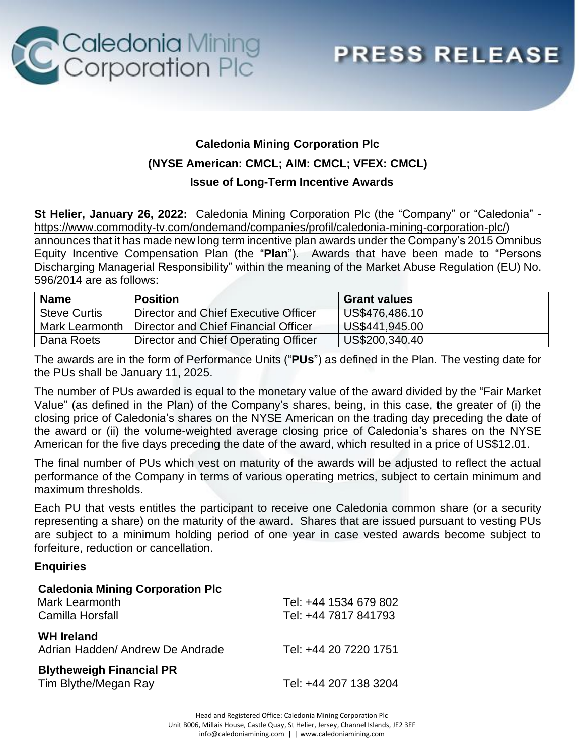

## **PRESS RELEASE**

## **Caledonia Mining Corporation Plc (NYSE American: CMCL; AIM: CMCL; VFEX: CMCL) Issue of Long-Term Incentive Awards**

**St Helier, January 26, 2022:** Caledonia Mining Corporation Plc (the "Company" or "Caledonia" [https://www.commodity-tv.com/ondemand/companies/profil/caledonia-mining-corporation-plc/\)](https://www.commodity-tv.com/ondemand/companies/profil/caledonia-mining-corporation-plc/) announces that it has made new long term incentive plan awards under the Company's 2015 Omnibus Equity Incentive Compensation Plan (the "**Plan**"). Awards that have been made to "Persons Discharging Managerial Responsibility" within the meaning of the Market Abuse Regulation (EU) No. 596/2014 are as follows:

| <b>Name</b>         | <b>Position</b>                      | <b>Grant values</b> |
|---------------------|--------------------------------------|---------------------|
| <b>Steve Curtis</b> | Director and Chief Executive Officer | US\$476,486.10      |
| Mark Learmonth      | Director and Chief Financial Officer | US\$441,945.00      |
| Dana Roets          | Director and Chief Operating Officer | US\$200,340.40      |

The awards are in the form of Performance Units ("**PUs**") as defined in the Plan. The vesting date for the PUs shall be January 11, 2025.

The number of PUs awarded is equal to the monetary value of the award divided by the "Fair Market Value" (as defined in the Plan) of the Company's shares, being, in this case, the greater of (i) the closing price of Caledonia's shares on the NYSE American on the trading day preceding the date of the award or (ii) the volume-weighted average closing price of Caledonia's shares on the NYSE American for the five days preceding the date of the award, which resulted in a price of US\$12.01.

The final number of PUs which vest on maturity of the awards will be adjusted to reflect the actual performance of the Company in terms of various operating metrics, subject to certain minimum and maximum thresholds.

Each PU that vests entitles the participant to receive one Caledonia common share (or a security representing a share) on the maturity of the award. Shares that are issued pursuant to vesting PUs are subject to a minimum holding period of one year in case vested awards become subject to forfeiture, reduction or cancellation.

## **Enquiries**

| <b>Caledonia Mining Corporation Plc</b><br><b>Mark Learmonth</b><br>Camilla Horsfall | Tel: +44 1534 679 802<br>Tel: +44 7817 841793 |
|--------------------------------------------------------------------------------------|-----------------------------------------------|
| <b>WH Ireland</b><br>Adrian Hadden/Andrew De Andrade                                 | Tel: +44 20 7220 1751                         |
| <b>Blytheweigh Financial PR</b><br>Tim Blythe/Megan Ray                              | Tel: +44 207 138 3204                         |